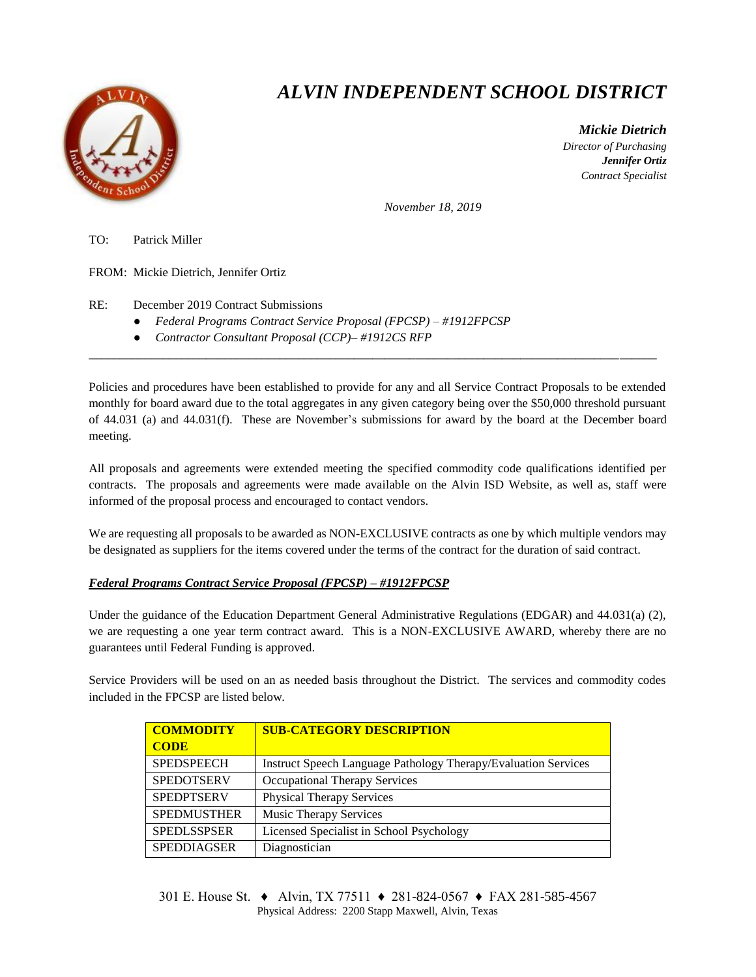

## *ALVIN INDEPENDENT SCHOOL DISTRICT*

 *Mickie Dietrich Director of Purchasing Jennifer Ortiz Contract Specialist*

*November 18, 2019*

TO: Patrick Miller

FROM: Mickie Dietrich, Jennifer Ortiz

RE: December 2019 Contract Submissions

- *Federal Programs Contract Service Proposal (FPCSP) – #1912FPCSP*
- *Contractor Consultant Proposal (CCP)– #1912CS RFP*

Policies and procedures have been established to provide for any and all Service Contract Proposals to be extended monthly for board award due to the total aggregates in any given category being over the \$50,000 threshold pursuant of 44.031 (a) and 44.031(f). These are November's submissions for award by the board at the December board meeting.

 $\overline{a_1}$  ,  $\overline{a_2}$  ,  $\overline{a_3}$  ,  $\overline{a_4}$  ,  $\overline{a_5}$  ,  $\overline{a_6}$  ,  $\overline{a_7}$  ,  $\overline{a_8}$  ,  $\overline{a_9}$  ,  $\overline{a_9}$  ,  $\overline{a_9}$  ,  $\overline{a_9}$  ,  $\overline{a_9}$  ,  $\overline{a_9}$  ,  $\overline{a_9}$  ,  $\overline{a_9}$  ,  $\overline{a_9}$  ,

All proposals and agreements were extended meeting the specified commodity code qualifications identified per contracts. The proposals and agreements were made available on the Alvin ISD Website, as well as, staff were informed of the proposal process and encouraged to contact vendors.

We are requesting all proposals to be awarded as NON-EXCLUSIVE contracts as one by which multiple vendors may be designated as suppliers for the items covered under the terms of the contract for the duration of said contract.

## *Federal Programs Contract Service Proposal (FPCSP) – #1912FPCSP*

Under the guidance of the Education Department General Administrative Regulations (EDGAR) and 44.031(a) (2), we are requesting a one year term contract award. This is a NON-EXCLUSIVE AWARD, whereby there are no guarantees until Federal Funding is approved.

Service Providers will be used on an as needed basis throughout the District. The services and commodity codes included in the FPCSP are listed below.

| <b>COMMODITY</b>   | <b>SUB-CATEGORY DESCRIPTION</b>                                       |  |  |
|--------------------|-----------------------------------------------------------------------|--|--|
| <b>CODE</b>        |                                                                       |  |  |
| <b>SPEDSPEECH</b>  | <b>Instruct Speech Language Pathology Therapy/Evaluation Services</b> |  |  |
| <b>SPEDOTSERV</b>  | Occupational Therapy Services                                         |  |  |
| <b>SPEDPTSERV</b>  | <b>Physical Therapy Services</b>                                      |  |  |
| <b>SPEDMUSTHER</b> | <b>Music Therapy Services</b>                                         |  |  |
| <b>SPEDLSSPSER</b> | Licensed Specialist in School Psychology                              |  |  |
| <b>SPEDDIAGSER</b> | Diagnostician                                                         |  |  |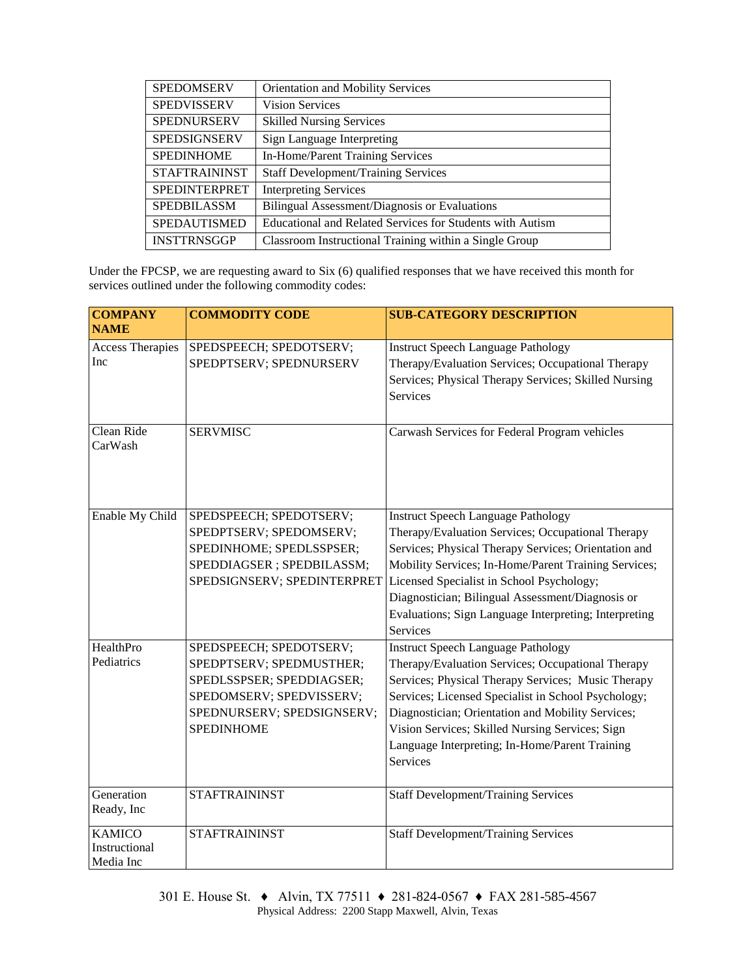| <b>SPEDOMSERV</b>    | Orientation and Mobility Services                         |  |  |  |
|----------------------|-----------------------------------------------------------|--|--|--|
| <b>SPEDVISSERV</b>   | <b>Vision Services</b>                                    |  |  |  |
| <b>SPEDNURSERV</b>   | <b>Skilled Nursing Services</b>                           |  |  |  |
| <b>SPEDSIGNSERV</b>  | Sign Language Interpreting                                |  |  |  |
| <b>SPEDINHOME</b>    | In-Home/Parent Training Services                          |  |  |  |
| <b>STAFTRAININST</b> | <b>Staff Development/Training Services</b>                |  |  |  |
| <b>SPEDINTERPRET</b> | <b>Interpreting Services</b>                              |  |  |  |
| <b>SPEDBILASSM</b>   | Bilingual Assessment/Diagnosis or Evaluations             |  |  |  |
| SPEDAUTISMED         | Educational and Related Services for Students with Autism |  |  |  |
| <b>INSTTRNSGGP</b>   | Classroom Instructional Training within a Single Group    |  |  |  |

Under the FPCSP, we are requesting award to Six (6) qualified responses that we have received this month for services outlined under the following commodity codes:

| <b>COMPANY</b>                              | <b>COMMODITY CODE</b>                                                                                                                                           | <b>SUB-CATEGORY DESCRIPTION</b>                                                                                                                                                                                                                                                                                                                                                             |  |
|---------------------------------------------|-----------------------------------------------------------------------------------------------------------------------------------------------------------------|---------------------------------------------------------------------------------------------------------------------------------------------------------------------------------------------------------------------------------------------------------------------------------------------------------------------------------------------------------------------------------------------|--|
| <b>NAME</b>                                 |                                                                                                                                                                 |                                                                                                                                                                                                                                                                                                                                                                                             |  |
| <b>Access Therapies</b><br>Inc              | SPEDSPEECH; SPEDOTSERV;<br>SPEDPTSERV; SPEDNURSERV                                                                                                              | <b>Instruct Speech Language Pathology</b><br>Therapy/Evaluation Services; Occupational Therapy<br>Services; Physical Therapy Services; Skilled Nursing<br><b>Services</b>                                                                                                                                                                                                                   |  |
| Clean Ride<br>CarWash                       | <b>SERVMISC</b>                                                                                                                                                 | Carwash Services for Federal Program vehicles                                                                                                                                                                                                                                                                                                                                               |  |
| Enable My Child                             | SPEDSPEECH; SPEDOTSERV;<br>SPEDPTSERV; SPEDOMSERV;<br>SPEDINHOME; SPEDLSSPSER;<br>SPEDDIAGSER ; SPEDBILASSM;<br>SPEDSIGNSERV; SPEDINTERPRET                     | <b>Instruct Speech Language Pathology</b><br>Therapy/Evaluation Services; Occupational Therapy<br>Services; Physical Therapy Services; Orientation and<br>Mobility Services; In-Home/Parent Training Services;<br>Licensed Specialist in School Psychology;<br>Diagnostician; Bilingual Assessment/Diagnosis or<br>Evaluations; Sign Language Interpreting; Interpreting<br><b>Services</b> |  |
| HealthPro<br>Pediatrics                     | SPEDSPEECH; SPEDOTSERV;<br>SPEDPTSERV; SPEDMUSTHER;<br>SPEDLSSPSER; SPEDDIAGSER;<br>SPEDOMSERV; SPEDVISSERV;<br>SPEDNURSERV; SPEDSIGNSERV;<br><b>SPEDINHOME</b> | <b>Instruct Speech Language Pathology</b><br>Therapy/Evaluation Services; Occupational Therapy<br>Services; Physical Therapy Services; Music Therapy<br>Services; Licensed Specialist in School Psychology;<br>Diagnostician; Orientation and Mobility Services;<br>Vision Services; Skilled Nursing Services; Sign<br>Language Interpreting; In-Home/Parent Training<br>Services           |  |
| Generation<br>Ready, Inc                    | <b>STAFTRAININST</b>                                                                                                                                            | <b>Staff Development/Training Services</b>                                                                                                                                                                                                                                                                                                                                                  |  |
| <b>KAMICO</b><br>Instructional<br>Media Inc | <b>STAFTRAININST</b>                                                                                                                                            | <b>Staff Development/Training Services</b>                                                                                                                                                                                                                                                                                                                                                  |  |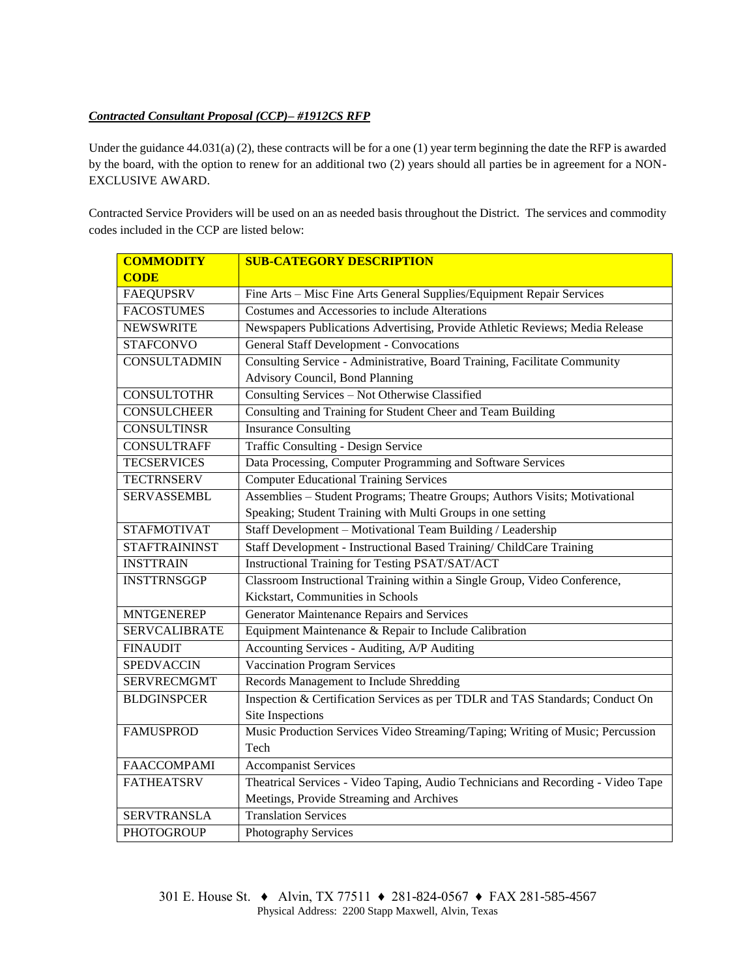## *Contracted Consultant Proposal (CCP)– #1912CS RFP*

Under the guidance 44.031(a) (2), these contracts will be for a one (1) year term beginning the date the RFP is awarded by the board, with the option to renew for an additional two (2) years should all parties be in agreement for a NON-EXCLUSIVE AWARD.

Contracted Service Providers will be used on an as needed basis throughout the District. The services and commodity codes included in the CCP are listed below:

| <b>COMMODITY</b>     | <b>SUB-CATEGORY DESCRIPTION</b>                                                  |  |  |  |
|----------------------|----------------------------------------------------------------------------------|--|--|--|
| <b>CODE</b>          |                                                                                  |  |  |  |
| <b>FAEQUPSRV</b>     | Fine Arts - Misc Fine Arts General Supplies/Equipment Repair Services            |  |  |  |
| <b>FACOSTUMES</b>    | Costumes and Accessories to include Alterations                                  |  |  |  |
| <b>NEWSWRITE</b>     | Newspapers Publications Advertising, Provide Athletic Reviews; Media Release     |  |  |  |
| <b>STAFCONVO</b>     | <b>General Staff Development - Convocations</b>                                  |  |  |  |
| <b>CONSULTADMIN</b>  | Consulting Service - Administrative, Board Training, Facilitate Community        |  |  |  |
|                      | Advisory Council, Bond Planning                                                  |  |  |  |
| <b>CONSULTOTHR</b>   | Consulting Services - Not Otherwise Classified                                   |  |  |  |
| <b>CONSULCHEER</b>   | Consulting and Training for Student Cheer and Team Building                      |  |  |  |
| <b>CONSULTINSR</b>   | <b>Insurance Consulting</b>                                                      |  |  |  |
| <b>CONSULTRAFF</b>   | Traffic Consulting - Design Service                                              |  |  |  |
| <b>TECSERVICES</b>   | Data Processing, Computer Programming and Software Services                      |  |  |  |
| <b>TECTRNSERV</b>    | <b>Computer Educational Training Services</b>                                    |  |  |  |
| SERVASSEMBL          | Assemblies - Student Programs; Theatre Groups; Authors Visits; Motivational      |  |  |  |
|                      | Speaking; Student Training with Multi Groups in one setting                      |  |  |  |
| <b>STAFMOTIVAT</b>   | Staff Development - Motivational Team Building / Leadership                      |  |  |  |
| <b>STAFTRAININST</b> | Staff Development - Instructional Based Training/ ChildCare Training             |  |  |  |
| <b>INSTTRAIN</b>     | Instructional Training for Testing PSAT/SAT/ACT                                  |  |  |  |
| <b>INSTTRNSGGP</b>   | Classroom Instructional Training within a Single Group, Video Conference,        |  |  |  |
|                      | Kickstart, Communities in Schools                                                |  |  |  |
| <b>MNTGENEREP</b>    | Generator Maintenance Repairs and Services                                       |  |  |  |
| <b>SERVCALIBRATE</b> | Equipment Maintenance & Repair to Include Calibration                            |  |  |  |
| <b>FINAUDIT</b>      | Accounting Services - Auditing, A/P Auditing                                     |  |  |  |
| <b>SPEDVACCIN</b>    | <b>Vaccination Program Services</b>                                              |  |  |  |
| <b>SERVRECMGMT</b>   | Records Management to Include Shredding                                          |  |  |  |
| <b>BLDGINSPCER</b>   | Inspection & Certification Services as per TDLR and TAS Standards; Conduct On    |  |  |  |
|                      | Site Inspections                                                                 |  |  |  |
| <b>FAMUSPROD</b>     | Music Production Services Video Streaming/Taping; Writing of Music; Percussion   |  |  |  |
|                      | Tech                                                                             |  |  |  |
| <b>FAACCOMPAMI</b>   | <b>Accompanist Services</b>                                                      |  |  |  |
| <b>FATHEATSRV</b>    | Theatrical Services - Video Taping, Audio Technicians and Recording - Video Tape |  |  |  |
|                      | Meetings, Provide Streaming and Archives                                         |  |  |  |
| <b>SERVTRANSLA</b>   | <b>Translation Services</b>                                                      |  |  |  |
| PHOTOGROUP           | Photography Services                                                             |  |  |  |